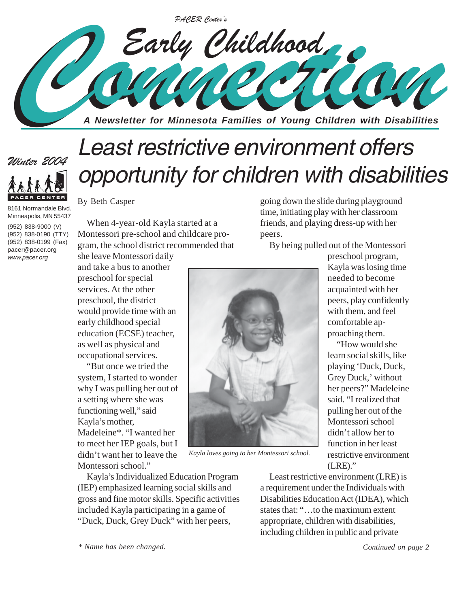

# *Least restrictive environment offers opportunity for children with disabilities*



*Winter 2004*

(952) 838-9000 (V) (952) 838-0190 (TTY) (952) 838-0199 (Fax) pacer@pacer.org *www.pacer.org*

By Beth Casper

When 4-year-old Kayla started at a Montessori pre-school and childcare program, the school district recommended that

she leave Montessori daily and take a bus to another preschool for special services. At the other preschool, the district would provide time with an early childhood special education (ECSE) teacher, as well as physical and occupational services.

"But once we tried the system, I started to wonder why I was pulling her out of a setting where she was functioning well," said Kayla's mother, Madeleine\*. "I wanted her to meet her IEP goals, but I didn't want her to leave the Montessori school."

Kayla's Individualized Education Program (IEP) emphasized learning social skills and gross and fine motor skills. Specific activities included Kayla participating in a game of "Duck, Duck, Grey Duck" with her peers,

going down the slide during playground time, initiating play with her classroom friends, and playing dress-up with her peers.

By being pulled out of the Montessori



*Kayla loves going to her Montessori school.*

preschool program, Kayla was losing time needed to become acquainted with her peers, play confidently with them, and feel comfortable approaching them.

"How would she learn social skills, like playing 'Duck, Duck, Grey Duck,' without her peers?" Madeleine said. "I realized that pulling her out of the Montessori school didn't allow her to function in her least restrictive environment (LRE)."

Least restrictive environment (LRE) is a requirement under the Individuals with Disabilities Education Act (IDEA), which states that: "…to the maximum extent appropriate, children with disabilities, including children in public and private

*\* Name has been changed.*

*Continued on page 2*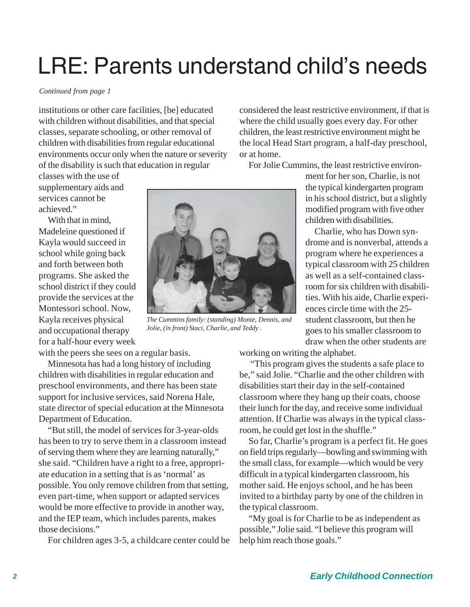# LRE: Parents understand child's needs

### *Continued from page 1*

institutions or other care facilities, [be] educated with children without disabilities, and that special classes, separate schooling, or other removal of children with disabilities from regular educational environments occur only when the nature or severity of the disability is such that education in regular

classes with the use of supplementary aids and services cannot be achieved."

With that in mind, Madeleine questioned if Kayla would succeed in school while going back and forth between both programs. She asked the school district if they could provide the services at the Montessori school. Now, Kayla receives physical and occupational therapy for a half-hour every week

with the peers she sees on a regular basis.

Minnesota has had a long history of including children with disabilities in regular education and preschool environments, and there has been state support for inclusive services, said Norena Hale, state director of special education at the Minnesota Department of Education.

"But still, the model of services for 3-year-olds has been to try to serve them in a classroom instead of serving them where they are learning naturally," she said. "Children have a right to a free, appropriate education in a setting that is as 'normal' as possible. You only remove children from that setting, even part-time, when support or adapted services would be more effective to provide in another way, and the IEP team, which includes parents, makes those decisions."

For children ages 3-5, a childcare center could be



*The Cummins family: (standing) Monte, Dennis, and Jolie, (in front) Staci, Charlie, and Teddy .*

considered the least restrictive environment, if that is where the child usually goes every day. For other children, the least restrictive environment might be the local Head Start program, a half-day preschool, or at home.

For Jolie Cummins, the least restrictive environ-

ment for her son, Charlie, is not the typical kindergarten program in his school district, but a slightly modified program with five other children with disabilities.

Charlie, who has Down syndrome and is nonverbal, attends a program where he experiences a typical classroom with 25 children as well as a self-contained classroom for six children with disabilities. With his aide, Charlie experiences circle time with the 25 student classroom, but then he goes to his smaller classroom to draw when the other students are

working on writing the alphabet.

 "This program gives the students a safe place to be," said Jolie. "Charlie and the other children with disabilities start their day in the self-contained classroom where they hang up their coats, choose their lunch for the day, and receive some individual attention. If Charlie was always in the typical classroom, he could get lost in the shuffle."

So far, Charlie's program is a perfect fit. He goes on field trips regularly—bowling and swimming with the small class, for example—which would be very difficult in a typical kindergarten classroom, his mother said. He enjoys school, and he has been invited to a birthday party by one of the children in the typical classroom.

"My goal is for Charlie to be as independent as possible," Jolie said. "I believe this program will help him reach those goals."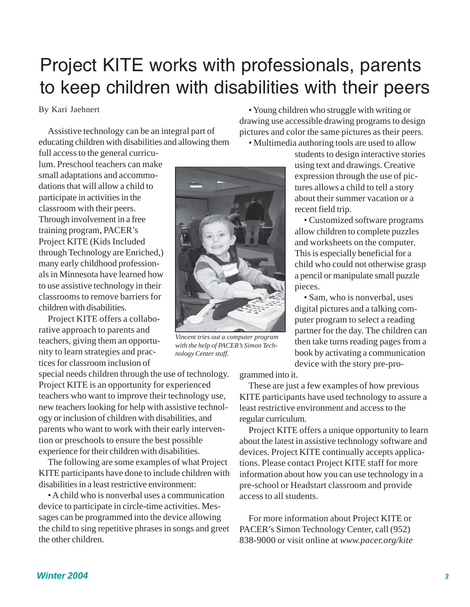### Project KITE works with professionals, parents to keep children with disabilities with their peers

### By Kari Jaehnert

Assistive technology can be an integral part of educating children with disabilities and allowing them

full access to the general curriculum. Preschool teachers can make small adaptations and accommodations that will allow a child to participate in activities in the classroom with their peers. Through involvement in a free training program, PACER's Project KITE (Kids Included through Technology are Enriched,) many early childhood professionals in Minnesota have learned how to use assistive technology in their classrooms to remove barriers for children with disabilities.

Project KITE offers a collaborative approach to parents and teachers, giving them an opportunity to learn strategies and practices for classroom inclusion of

special needs children through the use of technology. Project KITE is an opportunity for experienced teachers who want to improve their technology use, new teachers looking for help with assistive technology or inclusion of children with disabilities, and parents who want to work with their early intervention or preschools to ensure the best possible experience for their children with disabilities.

The following are some examples of what Project KITE participants have done to include children with disabilities in a least restrictive environment:

• A child who is nonverbal uses a communication device to participate in circle-time activities. Messages can be programmed into the device allowing the child to sing repetitive phrases in songs and greet the other children.

• Young children who struggle with writing or drawing use accessible drawing programs to design pictures and color the same pictures as their peers.

• Multimedia authoring tools are used to allow

students to design interactive stories using text and drawings. Creative expression through the use of pictures allows a child to tell a story about their summer vacation or a recent field trip.

• Customized software programs allow children to complete puzzles and worksheets on the computer. This is especially beneficial for a child who could not otherwise grasp a pencil or manipulate small puzzle pieces.

• Sam, who is nonverbal, uses digital pictures and a talking computer program to select a reading partner for the day. The children can then take turns reading pages from a book by activating a communication device with the story pre-pro-

grammed into it.

These are just a few examples of how previous KITE participants have used technology to assure a least restrictive environment and access to the regular curriculum.

Project KITE offers a unique opportunity to learn about the latest in assistive technology software and devices. Project KITE continually accepts applications. Please contact Project KITE staff for more information about how you can use technology in a pre-school or Headstart classroom and provide access to all students.

For more information about Project KITE or PACER's Simon Technology Center, call (952) 838-9000 or visit online at *www.pacer.org/kite*



*Vincent tries out a computer program with the help of PACER's Simon Technology Center staff.*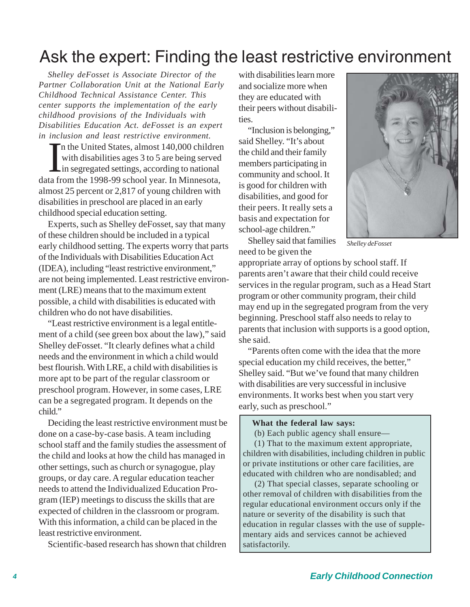### Ask the expert: Finding the least restrictive environment

*Shelley deFosset is Associate Director of the Partner Collaboration Unit at the National Early Childhood Technical Assistance Center. This center supports the implementation of the early childhood provisions of the Individuals with Disabilities Education Act. deFosset is an expert in inclusion and least restrictive environment.*

In the United States, almost 140,000 children<br>with disabilities ages 3 to 5 are being served<br>in segregated settings, according to national<br>data from the 1998-99 school year. In Minnesota, n the United States, almost 140,000 children with disabilities ages 3 to 5 are being served in segregated settings, according to national almost 25 percent or 2,817 of young children with disabilities in preschool are placed in an early childhood special education setting.

Experts, such as Shelley deFosset, say that many of these children should be included in a typical early childhood setting. The experts worry that parts of the Individuals with Disabilities Education Act (IDEA), including "least restrictive environment," are not being implemented. Least restrictive environment (LRE) means that to the maximum extent possible, a child with disabilities is educated with children who do not have disabilities.

"Least restrictive environment is a legal entitlement of a child (see green box about the law)," said Shelley deFosset. "It clearly defines what a child needs and the environment in which a child would best flourish. With LRE, a child with disabilities is more apt to be part of the regular classroom or preschool program. However, in some cases, LRE can be a segregated program. It depends on the child."

Deciding the least restrictive environment must be done on a case-by-case basis. A team including school staff and the family studies the assessment of the child and looks at how the child has managed in other settings, such as church or synagogue, play groups, or day care. A regular education teacher needs to attend the Individualized Education Program (IEP) meetings to discuss the skills that are expected of children in the classroom or program. With this information, a child can be placed in the least restrictive environment.

Scientific-based research has shown that children

with disabilities learn more and socialize more when they are educated with their peers without disabilities.

"Inclusion is belonging," said Shelley. "It's about the child and their family members participating in community and school. It is good for children with disabilities, and good for their peers. It really sets a basis and expectation for school-age children."



*Shelley deFosset*

Shelley said that families need to be given the

appropriate array of options by school staff. If parents aren't aware that their child could receive services in the regular program, such as a Head Start program or other community program, their child may end up in the segregated program from the very beginning. Preschool staff also needs to relay to parents that inclusion with supports is a good option, she said.

"Parents often come with the idea that the more special education my child receives, the better," Shelley said. "But we've found that many children with disabilities are very successful in inclusive environments. It works best when you start very early, such as preschool."

### **What the federal law says:**

(b) Each public agency shall ensure—

 (1) That to the maximum extent appropriate, children with disabilities, including children in public or private institutions or other care facilities, are educated with children who are nondisabled; and

 (2) That special classes, separate schooling or other removal of children with disabilities from the regular educational environment occurs only if the nature or severity of the disability is such that education in regular classes with the use of supplementary aids and services cannot be achieved satisfactorily.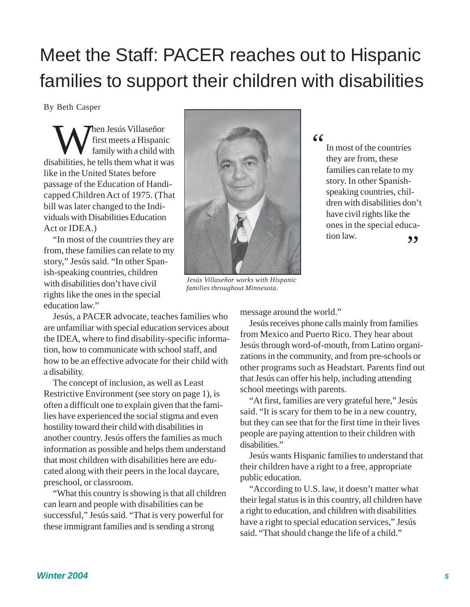### Meet the Staff: PACER reaches out to Hispanic families to support their children with disabilities

By Beth Casper

When Jesús Villaseñor<br>first meets a Hispani<br>family with a child w first meets a Hispanic family with a child with disabilities, he tells them what it was like in the United States before passage of the Education of Handicapped Children Act of 1975. (That bill was later changed to the Individuals with Disabilities Education Act or IDEA.)

"In most of the countries they are from, these families can relate to my story," Jesús said. "In other Spanish-speaking countries, children with disabilities don't have civil rights like the ones in the special education law."

Jesús, a PACER advocate, teaches families who are unfamiliar with special education services about the IDEA, where to find disability-specific information, how to communicate with school staff, and how to be an effective advocate for their child with a disability.

The concept of inclusion, as well as Least Restrictive Environment (see story on page 1), is often a difficult one to explain given that the families have experienced the social stigma and even hostility toward their child with disabilities in another country. Jesús offers the families as much information as possible and helps them understand that most children with disabilities here are educated along with their peers in the local daycare, preschool, or classroom.

"What this country is showing is that all children can learn and people with disabilities can be successful," Jesús said. "That is very powerful for these immigrant families and is sending a strong



*Jesús Villaseñor works with Hispanic families throughout Minnesota.*

"

In most of the countries they are from, these families can relate to my story. In other Spanishspeaking countries, children with disabilities don't have civil rights like the ones in the special educa- $\frac{1}{2}$  tion law.

message around the world."

Jesús receives phone calls mainly from families from Mexico and Puerto Rico. They hear about Jesús through word-of-mouth, from Latino organizations in the community, and from pre-schools or other programs such as Headstart. Parents find out that Jesús can offer his help, including attending school meetings with parents.

"At first, families are very grateful here," Jesús said. "It is scary for them to be in a new country, but they can see that for the first time in their lives people are paying attention to their children with disabilities."

Jesús wants Hispanic families to understand that their children have a right to a free, appropriate public education.

"According to U.S. law, it doesn't matter what their legal status is in this country, all children have a right to education, and children with disabilities have a right to special education services," Jesús said. "That should change the life of a child."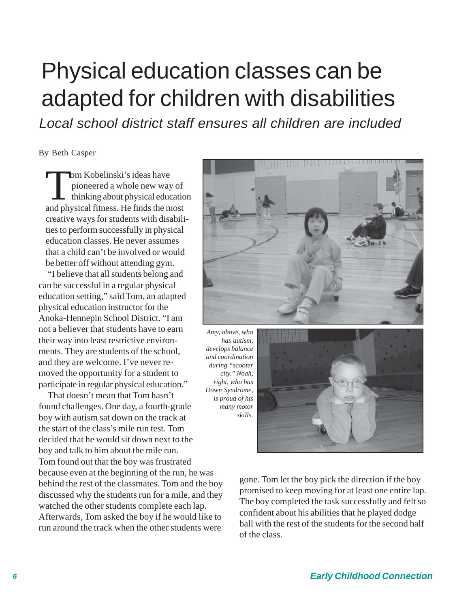## Physical education classes can be adapted for children with disabilities

*Local school district staff ensures all children are included*

By Beth Casper

Iom Kobelinski's ideas have<br>pioneered a whole new way<br>thinking about physical education pioneered a whole new way of thinking about physical education and physical fitness. He finds the most creative ways for students with disabilities to perform successfully in physical education classes. He never assumes that a child can't be involved or would be better off without attending gym.

"I believe that all students belong and can be successful in a regular physical education setting," said Tom, an adapted physical education instructor for the Anoka-Hennepin School District. "I am not a believer that students have to earn their way into least restrictive environments. They are students of the school, and they are welcome. I've never removed the opportunity for a student to participate in regular physical education."

That doesn't mean that Tom hasn't found challenges. One day, a fourth-grade boy with autism sat down on the track at the start of the class's mile run test. Tom decided that he would sit down next to the boy and talk to him about the mile run. Tom found out that the boy was frustrated because even at the beginning of the run, he was behind the rest of the classmates. Tom and the boy discussed why the students run for a mile, and they watched the other students complete each lap. Afterwards, Tom asked the boy if he would like to run around the track when the other students were



*Amy, above, who has autism, develops balance and coordination during "scooter city." Noah, right, who has Down Syndrome, is proud of his many motor skills.*

![](_page_5_Picture_8.jpeg)

gone. Tom let the boy pick the direction if the boy promised to keep moving for at least one entire lap. The boy completed the task successfully and felt so confident about his abilities that he played dodge ball with the rest of the students for the second half of the class.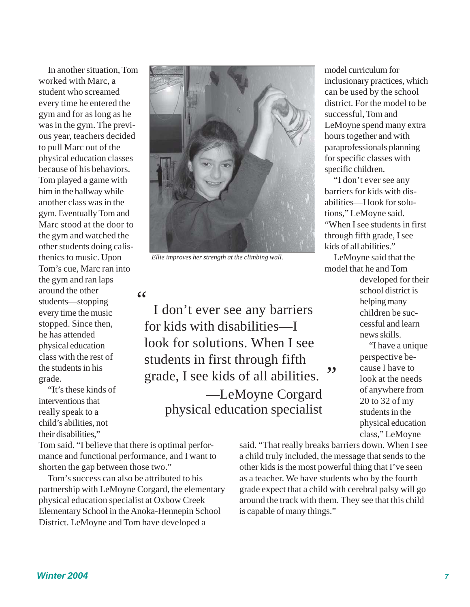In another situation, Tom worked with Marc, a student who screamed every time he entered the gym and for as long as he was in the gym. The previous year, teachers decided to pull Marc out of the physical education classes because of his behaviors. Tom played a game with him in the hallway while another class was in the gym. Eventually Tom and Marc stood at the door to the gym and watched the other students doing calisthenics to music. Upon Tom's cue, Marc ran into the gym and ran laps around the other students—stopping every time the music stopped. Since then, he has attended physical education class with the rest of the students in his grade.

"It's these kinds of interventions that really speak to a child's abilities, not their disabilities,"

Tom said. "I believe that there is optimal performance and functional performance, and I want to shorten the gap between those two."

Tom's success can also be attributed to his partnership with LeMoyne Corgard, the elementary physical education specialist at Oxbow Creek Elementary School in the Anoka-Hennepin School District. LeMoyne and Tom have developed a

![](_page_6_Picture_4.jpeg)

*Ellie improves her strength at the climbing wall.*

"

I don't ever see any barriers for kids with disabilities—I look for solutions. When I see students in first through fifth grade, I see kids of all abilities. ,, —LeMoyne Corgard physical education specialist

model curriculum for inclusionary practices, which can be used by the school district. For the model to be successful, Tom and LeMoyne spend many extra hours together and with paraprofessionals planning for specific classes with specific children.

"I don't ever see any barriers for kids with disabilities—I look for solutions," LeMoyne said. "When I see students in first through fifth grade, I see kids of all abilities."

LeMoyne said that the model that he and Tom

> developed for their school district is helping many children be successful and learn news skills.

"I have a unique perspective because I have to look at the needs of anywhere from 20 to 32 of my students in the physical education class," LeMoyne

said. "That really breaks barriers down. When I see a child truly included, the message that sends to the other kids is the most powerful thing that I've seen as a teacher. We have students who by the fourth grade expect that a child with cerebral palsy will go around the track with them. They see that this child is capable of many things."